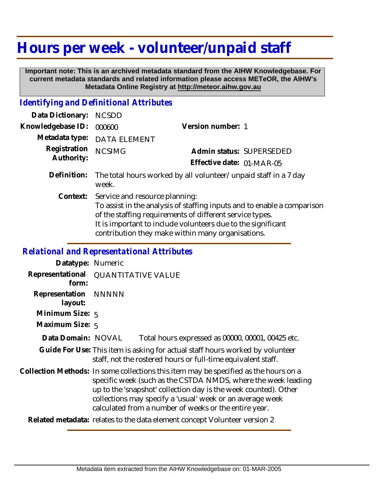## **Hours per week - volunteer/unpaid staff**

 **Important note: This is an archived metadata standard from the AIHW Knowledgebase. For current metadata standards and related information please access METeOR, the AIHW's Metadata Online Registry at http://meteor.aihw.gov.au**

## *Identifying and Definitional Attributes*

| Data Dictionary:           | <b>NCSDD</b>                                                                                                                                                                                                                                                                                        |                           |  |
|----------------------------|-----------------------------------------------------------------------------------------------------------------------------------------------------------------------------------------------------------------------------------------------------------------------------------------------------|---------------------------|--|
| Knowledgebase ID:          | 000600                                                                                                                                                                                                                                                                                              | Version number: 1         |  |
| Metadata type:             | DATA ELEMENT                                                                                                                                                                                                                                                                                        |                           |  |
| Registration<br>Authority: | <b>NCSIMG</b>                                                                                                                                                                                                                                                                                       | Admin status: SUPERSEDED  |  |
|                            |                                                                                                                                                                                                                                                                                                     | Effective date: 01-MAR-05 |  |
| Definition:                | The total hours worked by all volunteer/unpaid staff in a 7 day<br>week.                                                                                                                                                                                                                            |                           |  |
|                            | Context: Service and resource planning:<br>To assist in the analysis of staffing inputs and to enable a comparison<br>of the staffing requirements of different service types.<br>It is important to include volunteers due to the significant<br>contribution they make within many organisations. |                           |  |

## *Relational and Representational Attributes*

| Datatype: Numeric         |                                                                                                                                                                                                                                                                                                                                                |                                                   |
|---------------------------|------------------------------------------------------------------------------------------------------------------------------------------------------------------------------------------------------------------------------------------------------------------------------------------------------------------------------------------------|---------------------------------------------------|
| Representational<br>form: | <b>QUANTITATIVE VALUE</b>                                                                                                                                                                                                                                                                                                                      |                                                   |
| Representation<br>layout: | <b>NNNNN</b>                                                                                                                                                                                                                                                                                                                                   |                                                   |
| Minimum Size: 5           |                                                                                                                                                                                                                                                                                                                                                |                                                   |
| Maximum Size: 5           |                                                                                                                                                                                                                                                                                                                                                |                                                   |
| Data Domain: NOVAL        |                                                                                                                                                                                                                                                                                                                                                | Total hours expressed as 00000, 00001, 00425 etc. |
|                           | Guide For Use: This item is asking for actual staff hours worked by volunteer<br>staff, not the rostered hours or full-time equivalent staff.                                                                                                                                                                                                  |                                                   |
|                           | Collection Methods: In some collections this item may be specified as the hours on a<br>specific week (such as the CSTDA NMDS, where the week leading<br>up to the 'snapshot' collection day is the week counted). Other<br>collections may specify a 'usual' week or an average week<br>calculated from a number of weeks or the entire year. |                                                   |
|                           | Related metadata: relates to the data element concept Volunteer version 2                                                                                                                                                                                                                                                                      |                                                   |